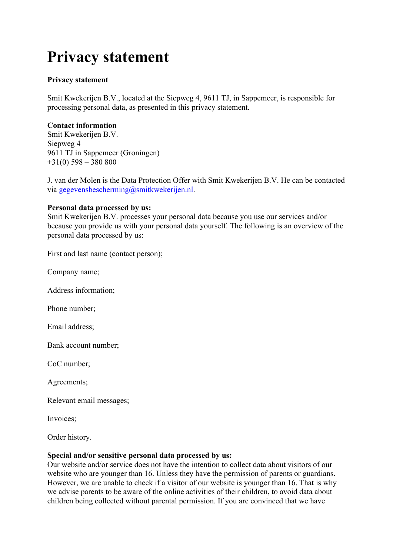# **Privacy statement**

# **Privacy statement**

Smit Kwekerijen B.V., located at the Siepweg 4, 9611 TJ, in Sappemeer, is responsible for processing personal data, as presented in this privacy statement.

#### **Contact information**

Smit Kwekerijen B.V. Siepweg 4 9611 TJ in Sappemeer (Groningen) +31(0) 598 – 380 800

J. van der Molen is the Data Protection Offer with Smit Kwekerijen B.V. He can be contacted via gegevensbescherming@smitkwekerijen.nl.

#### **Personal data processed by us:**

Smit Kwekerijen B.V. processes your personal data because you use our services and/or because you provide us with your personal data yourself. The following is an overview of the personal data processed by us:

First and last name (contact person);

Company name;

Address information;

Phone number;

Email address;

Bank account number;

CoC number;

Agreements;

Relevant email messages;

Invoices;

Order history.

#### **Special and/or sensitive personal data processed by us:**

Our website and/or service does not have the intention to collect data about visitors of our website who are younger than 16. Unless they have the permission of parents or guardians. However, we are unable to check if a visitor of our website is younger than 16. That is why we advise parents to be aware of the online activities of their children, to avoid data about children being collected without parental permission. If you are convinced that we have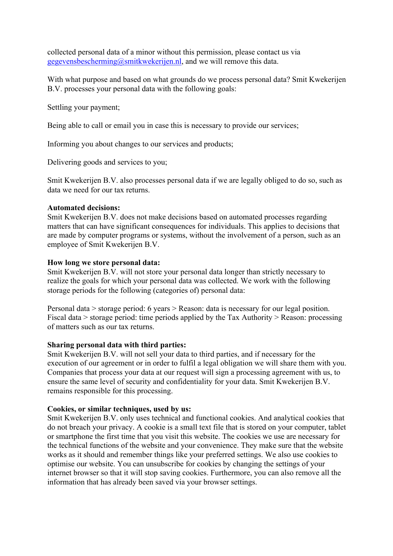collected personal data of a minor without this permission, please contact us via gegevensbescherming@smitkwekerijen.nl, and we will remove this data.

With what purpose and based on what grounds do we process personal data? Smit Kwekerijen B.V. processes your personal data with the following goals:

Settling your payment;

Being able to call or email you in case this is necessary to provide our services;

Informing you about changes to our services and products;

Delivering goods and services to you;

Smit Kwekerijen B.V. also processes personal data if we are legally obliged to do so, such as data we need for our tax returns.

### **Automated decisions:**

Smit Kwekerijen B.V. does not make decisions based on automated processes regarding matters that can have significant consequences for individuals. This applies to decisions that are made by computer programs or systems, without the involvement of a person, such as an employee of Smit Kwekerijen B.V.

#### **How long we store personal data:**

Smit Kwekerijen B.V. will not store your personal data longer than strictly necessary to realize the goals for which your personal data was collected. We work with the following storage periods for the following (categories of) personal data:

Personal data > storage period: 6 years > Reason: data is necessary for our legal position. Fiscal data > storage period: time periods applied by the Tax Authority > Reason: processing of matters such as our tax returns.

# **Sharing personal data with third parties:**

Smit Kwekerijen B.V. will not sell your data to third parties, and if necessary for the execution of our agreement or in order to fulfil a legal obligation we will share them with you. Companies that process your data at our request will sign a processing agreement with us, to ensure the same level of security and confidentiality for your data. Smit Kwekerijen B.V. remains responsible for this processing.

# **Cookies, or similar techniques, used by us:**

Smit Kwekerijen B.V. only uses technical and functional cookies. And analytical cookies that do not breach your privacy. A cookie is a small text file that is stored on your computer, tablet or smartphone the first time that you visit this website. The cookies we use are necessary for the technical functions of the website and your convenience. They make sure that the website works as it should and remember things like your preferred settings. We also use cookies to optimise our website. You can unsubscribe for cookies by changing the settings of your internet browser so that it will stop saving cookies. Furthermore, you can also remove all the information that has already been saved via your browser settings.